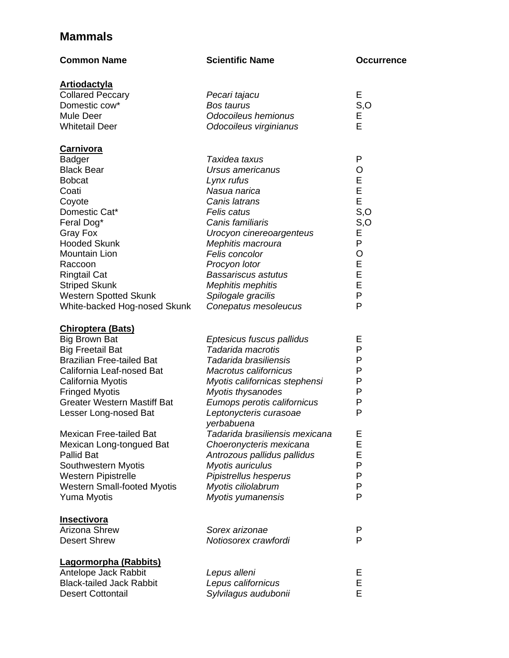## **Mammals**

| <b>Common Name</b>                 | <b>Scientific Name</b>               | <b>Occurrence</b> |
|------------------------------------|--------------------------------------|-------------------|
| <b>Artiodactyla</b>                |                                      |                   |
| <b>Collared Peccary</b>            | Pecari tajacu                        | Е                 |
| Domestic cow*                      | <b>Bos taurus</b>                    | S, O              |
| Mule Deer                          | Odocoileus hemionus                  | Е                 |
| <b>Whitetail Deer</b>              | Odocoileus virginianus               | E                 |
| <u>Carnivora</u>                   |                                      |                   |
| <b>Badger</b>                      | Taxidea taxus                        | P                 |
| <b>Black Bear</b>                  | Ursus americanus                     | O                 |
| <b>Bobcat</b>                      | Lynx rufus                           | E                 |
| Coati                              | Nasua narica                         | E                 |
| Coyote                             | Canis latrans                        | E                 |
| Domestic Cat*                      | Felis catus                          | S, O              |
| Feral Dog*                         | Canis familiaris                     | S, O              |
| Gray Fox                           | Urocyon cinereoargenteus             | Ε                 |
| <b>Hooded Skunk</b>                | Mephitis macroura                    | P                 |
| Mountain Lion                      | Felis concolor                       | $\circ$           |
| Raccoon                            | Procyon lotor                        | E                 |
| <b>Ringtail Cat</b>                | Bassariscus astutus                  | E                 |
| <b>Striped Skunk</b>               | <b>Mephitis mephitis</b>             | E                 |
| <b>Western Spotted Skunk</b>       | Spilogale gracilis                   | P                 |
| White-backed Hog-nosed Skunk       | Conepatus mesoleucus                 | P                 |
| <b>Chiroptera (Bats)</b>           |                                      |                   |
| <b>Big Brown Bat</b>               | Eptesicus fuscus pallidus            | Е                 |
| <b>Big Freetail Bat</b>            | Tadarida macrotis                    | P                 |
| <b>Brazilian Free-tailed Bat</b>   | Tadarida brasiliensis                | P                 |
| California Leaf-nosed Bat          | <b>Macrotus californicus</b>         | P                 |
| California Myotis                  | Myotis californicas stephensi        | P                 |
| <b>Fringed Myotis</b>              | Myotis thysanodes                    | P                 |
| <b>Greater Western Mastiff Bat</b> | Eumops perotis californicus          | P                 |
| Lesser Long-nosed Bat              | Leptonycteris curasoae<br>yerbabuena | P                 |
| <b>Mexican Free-tailed Bat</b>     | Tadarida brasiliensis mexicana       | Ε                 |
| Mexican Long-tongued Bat           | Choeronycteris mexicana              | E                 |
| <b>Pallid Bat</b>                  | Antrozous pallidus pallidus          | E                 |
| Southwestern Myotis                | Myotis auriculus                     | P                 |
| <b>Western Pipistrelle</b>         | Pipistrellus hesperus                | P                 |
| <b>Western Small-footed Myotis</b> | Myotis ciliolabrum                   | P                 |
| Yuma Myotis                        | Myotis yumanensis                    | P                 |
| <b>Insectivora</b>                 |                                      |                   |
| <b>Arizona Shrew</b>               | Sorex arizonae                       | P                 |
| <b>Desert Shrew</b>                | Notiosorex crawfordi                 | P                 |
| Lagormorpha (Rabbits)              |                                      |                   |
| Antelope Jack Rabbit               | Lepus alleni                         | Е                 |
| <b>Black-tailed Jack Rabbit</b>    | Lepus californicus                   | Е                 |
| <b>Desert Cottontail</b>           | Sylvilagus audubonii                 | E                 |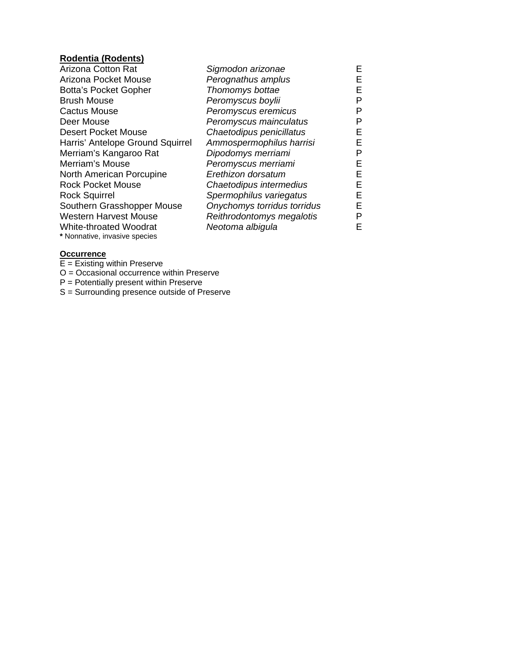## **Rodentia (Rodents)**

| Sigmodon arizonae           | Е  |
|-----------------------------|----|
| Perognathus amplus          | E  |
| Thomomys bottae             | Е  |
| Peromyscus boylii           | Р  |
| Peromyscus eremicus         | Р  |
| Peromyscus mainculatus      | Р  |
| Chaetodipus penicillatus    | Е  |
| Ammospermophilus harrisi    | Е  |
| Dipodomys merriami          | Р  |
| Peromyscus merriami         | E. |
| Erethizon dorsatum          | E. |
| Chaetodipus intermedius     | Е  |
| Spermophilus variegatus     | E. |
| Onychomys torridus torridus | E. |
| Reithrodontomys megalotis   | Р  |
| Neotoma albigula            | F  |
|                             |    |
|                             |    |

### **Occurrence**

E = Existing within Preserve O = Occasional occurrence within Preserve

P = Potentially present within Preserve

S = Surrounding presence outside of Preserve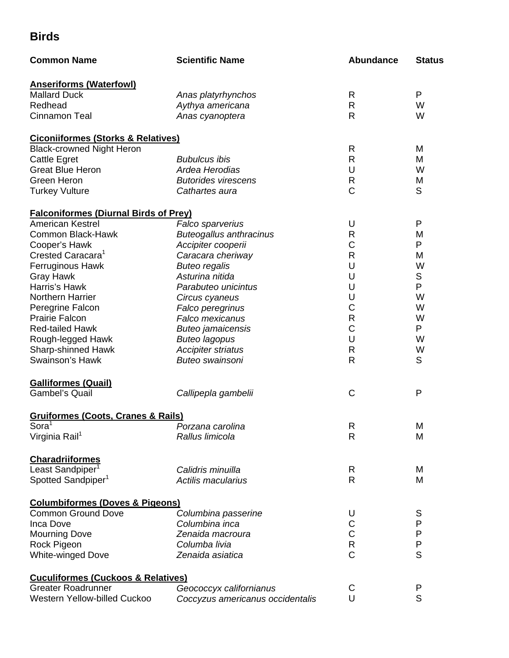# **Birds**

| <b>Common Name</b>                            | <b>Scientific Name</b>                       | <b>Abundance</b>   | <b>Status</b> |
|-----------------------------------------------|----------------------------------------------|--------------------|---------------|
| <b>Anseriforms (Waterfowl)</b>                |                                              |                    |               |
| <b>Mallard Duck</b>                           | Anas platyrhynchos                           | R                  | P             |
| Redhead                                       | Aythya americana                             | R                  | W             |
| Cinnamon Teal                                 | Anas cyanoptera                              | $\mathsf{R}$       | W             |
| <b>Ciconiiformes (Storks &amp; Relatives)</b> |                                              |                    |               |
| <b>Black-crowned Night Heron</b>              |                                              | R                  | M             |
| Cattle Egret                                  | <b>Bubulcus ibis</b>                         | R                  | M             |
| <b>Great Blue Heron</b>                       | Ardea Herodias                               | U                  | W             |
| Green Heron                                   | <b>Butorides virescens</b>                   | R                  | M             |
| <b>Turkey Vulture</b>                         | Cathartes aura                               | $\mathsf C$        | S             |
| <b>Falconiformes (Diurnal Birds of Prey)</b>  |                                              |                    |               |
| American Kestrel                              | Falco sparverius                             | U                  | P             |
| Common Black-Hawk                             | <b>Buteogallus anthracinus</b>               | $\mathsf{R}$       | M             |
| Cooper's Hawk                                 | Accipiter cooperii                           | $\mathsf C$        | P             |
| Crested Caracara <sup>1</sup>                 | Caracara cheriway                            | $\mathsf{R}$       | M             |
| Ferruginous Hawk                              | <b>Buteo regalis</b>                         | U                  | W             |
| <b>Gray Hawk</b>                              | Asturina nitida                              | U                  | $\mathbb S$   |
| Harris's Hawk                                 | Parabuteo unicintus                          | U                  | P             |
| Northern Harrier                              |                                              | U                  | W             |
|                                               | Circus cyaneus                               | $\mathsf C$        | W             |
| Peregrine Falcon<br><b>Prairie Falcon</b>     | Falco peregrinus<br><b>Falco mexicanus</b>   | $\mathsf{R}% _{T}$ | W             |
| <b>Red-tailed Hawk</b>                        |                                              | $\mathsf C$        | P             |
|                                               | <b>Buteo jamaicensis</b>                     | U                  | W             |
| Rough-legged Hawk                             | <b>Buteo lagopus</b>                         | $\mathsf{R}$       | W             |
| Sharp-shinned Hawk<br>Swainson's Hawk         | <b>Accipiter striatus</b><br>Buteo swainsoni | R                  | S             |
|                                               |                                              |                    |               |
| <b>Galliformes (Quail)</b>                    |                                              |                    |               |
| <b>Gambel's Quail</b>                         | Callipepla gambelii                          | C                  | P             |
| <b>Gruiformes (Coots, Cranes &amp; Rails)</b> |                                              |                    |               |
| Sora <sup>1</sup>                             | Porzana carolina                             | R                  | M             |
| Virginia Rail <sup>1</sup>                    | Rallus limicola                              | R                  | M             |
| <b>Charadriiformes</b>                        |                                              |                    |               |
| Least Sandpiper <sup>1</sup>                  | Calidris minuilla                            | R                  | M             |
| Spotted Sandpiper <sup>1</sup>                | Actilis macularius                           | R                  | M             |
| <b>Columbiformes (Doves &amp; Pigeons)</b>    |                                              |                    |               |
| <b>Common Ground Dove</b>                     | Columbina passerine                          | U                  | S             |
| <b>Inca Dove</b>                              | Columbina inca                               | $\mathsf C$        | P             |
| <b>Mourning Dove</b>                          | Zenaida macroura                             | $\overline{C}$ R   | P             |
| Rock Pigeon                                   | Columba livia                                |                    | P             |
| <b>White-winged Dove</b>                      | Zenaida asiatica                             | $\overline{C}$     | S             |
| <b>Cuculiformes (Cuckoos &amp; Relatives)</b> |                                              |                    |               |
| <b>Greater Roadrunner</b>                     | Geococcyx californianus                      | C                  | P             |
| Western Yellow-billed Cuckoo                  | Coccyzus americanus occidentalis             | U                  | S             |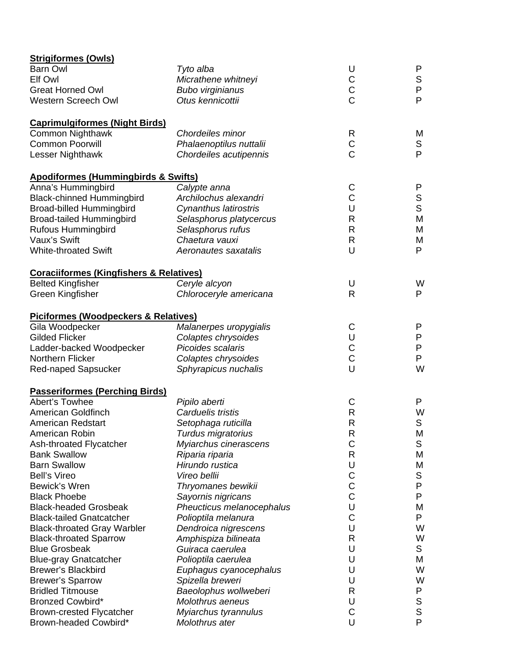| <b>Strigiformes (Owls)</b>                         |                           |                |             |
|----------------------------------------------------|---------------------------|----------------|-------------|
| <b>Barn Owl</b>                                    | Tyto alba                 | U              | P           |
| Elf Owl                                            | Micrathene whitneyi       |                | $\mathbb S$ |
| <b>Great Horned Owl</b>                            | <b>Bubo virginianus</b>   | C<br>C<br>C    | ${\sf P}$   |
| Western Screech Owl                                | Otus kennicottii          |                | P           |
| <b>Caprimulgiformes (Night Birds)</b>              |                           |                |             |
| <b>Common Nighthawk</b>                            | Chordeiles minor          | R              | M           |
| <b>Common Poorwill</b>                             | Phalaenoptilus nuttalii   | $\mathsf C$    | S           |
| Lesser Nighthawk                                   | Chordeiles acutipennis    | $\overline{C}$ | P           |
| <b>Apodiformes (Hummingbirds &amp; Swifts)</b>     |                           |                |             |
| Anna's Hummingbird                                 | Calypte anna              | C              | P           |
| <b>Black-chinned Hummingbird</b>                   | Archilochus alexandri     | $\mathsf C$    | S           |
| <b>Broad-billed Hummingbird</b>                    | Cynanthus latirostris     | U              | S           |
| <b>Broad-tailed Hummingbird</b>                    | Selasphorus platycercus   | R              | M           |
| <b>Rufous Hummingbird</b>                          | Selasphorus rufus         | R              | M           |
| Vaux's Swift                                       | Chaetura vauxi            | R              | M           |
| <b>White-throated Swift</b>                        | Aeronautes saxatalis      | U              | P           |
| <b>Coraciiformes (Kingfishers &amp; Relatives)</b> |                           |                |             |
| <b>Belted Kingfisher</b>                           | Ceryle alcyon             | U              | W           |
| Green Kingfisher                                   | Chloroceryle americana    | R              | P           |
| <b>Piciformes (Woodpeckers &amp; Relatives)</b>    |                           |                |             |
| Gila Woodpecker                                    | Malanerpes uropygialis    | C              | P           |
| <b>Gilded Flicker</b>                              | Colaptes chrysoides       | U              | P           |
| Ladder-backed Woodpecker                           | Picoides scalaris         | $\mathsf C$    | P           |
| Northern Flicker                                   | Colaptes chrysoides       | $\mathbf C$    | P           |
| Red-naped Sapsucker                                | Sphyrapicus nuchalis      | U              | W           |
| <b>Passeriformes (Perching Birds)</b>              |                           |                |             |
| Abert's Towhee                                     | Pipilo aberti             | C              | P           |
| American Goldfinch                                 | Carduelis tristis         | $\mathsf{R}$   | W           |
| <b>American Redstart</b>                           | Setophaga ruticilla       | R              | S           |
| American Robin                                     | Turdus migratorius        | R              | M           |
| Ash-throated Flycatcher                            | Myiarchus cinerascens     | C              | S           |
| <b>Bank Swallow</b>                                | Riparia riparia           | R              | M           |
| <b>Barn Swallow</b>                                | Hirundo rustica           | U              | M           |
| <b>Bell's Vireo</b>                                | Vireo bellii              | $\mathsf C$    | S           |
| Bewick's Wren                                      | Thryomanes bewikii        | $\mathsf C$    | P           |
| <b>Black Phoebe</b>                                | Sayornis nigricans        | $\overline{C}$ | P           |
| <b>Black-headed Grosbeak</b>                       | Pheucticus melanocephalus | U              | M           |
| <b>Black-tailed Gnatcatcher</b>                    | Polioptila melanura       | C              | P           |
| <b>Black-throated Gray Warbler</b>                 | Dendroica nigrescens      | U              | W           |
| <b>Black-throated Sparrow</b>                      | Amphispiza bilineata      | R              | W           |
| <b>Blue Grosbeak</b>                               | Guiraca caerulea          | U              | S           |
| <b>Blue-gray Gnatcatcher</b>                       | Polioptila caerulea       | U              | M           |
| <b>Brewer's Blackbird</b>                          | Euphagus cyanocephalus    | U              | W           |
| <b>Brewer's Sparrow</b>                            | Spizella breweri          | U              | W           |
| <b>Bridled Titmouse</b>                            | Baeolophus wollweberi     | R              | P           |
| <b>Bronzed Cowbird*</b>                            | Molothrus aeneus          | U              | S           |
| <b>Brown-crested Flycatcher</b>                    | Myiarchus tyrannulus      | C              | S           |
| Brown-headed Cowbird*                              | Molothrus ater            | U              | P           |
|                                                    |                           |                |             |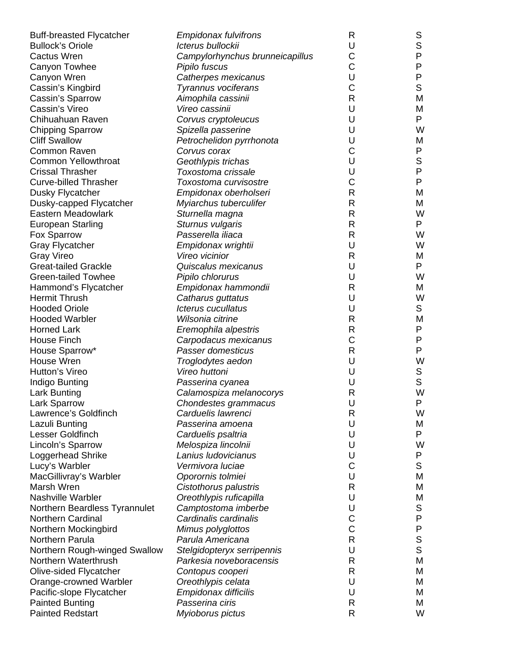| <b>Buff-breasted Flycatcher</b> | <b>Empidonax fulvifrons</b>     | R | S            |
|---------------------------------|---------------------------------|---|--------------|
| <b>Bullock's Oriole</b>         | Icterus bullockii               | U | $\mathsf S$  |
| <b>Cactus Wren</b>              | Campylorhynchus brunneicapillus | С | $\mathsf{P}$ |
| Canyon Towhee                   | Pipilo fuscus                   | C | P            |
| Canyon Wren                     | Catherpes mexicanus             | U | P            |
| Cassin's Kingbird               | Tyrannus vociferans             | С | $\mathsf S$  |
| Cassin's Sparrow                | Aimophila cassinii              | R | M            |
| Cassin's Vireo                  | Vireo cassinii                  | U | M            |
| Chihuahuan Raven                | Corvus cryptoleucus             | U | P            |
| <b>Chipping Sparrow</b>         | Spizella passerine              | U | W            |
| <b>Cliff Swallow</b>            | Petrochelidon pyrrhonota        | U | M            |
| <b>Common Raven</b>             | Corvus corax                    | C | P            |
| <b>Common Yellowthroat</b>      | Geothlypis trichas              | U | S            |
| <b>Crissal Thrasher</b>         | Toxostoma crissale              | U | P            |
| <b>Curve-billed Thrasher</b>    | Toxostoma curvisostre           | С | P            |
| Dusky Flycatcher                | Empidonax oberholseri           | R | M            |
| Dusky-capped Flycatcher         | Myiarchus tuberculifer          | R | M            |
| Eastern Meadowlark              | Sturnella magna                 | R | W            |
| <b>European Starling</b>        | Sturnus vulgaris                | R | P            |
| Fox Sparrow                     | Passerella iliaca               | R | W            |
| <b>Gray Flycatcher</b>          | Empidonax wrightii              | U | W            |
| Gray Vireo                      | Vireo vicinior                  | R | M            |
| <b>Great-tailed Grackle</b>     | Quiscalus mexicanus             | U | P            |
| <b>Green-tailed Towhee</b>      | Pipilo chlorurus                | U | W            |
| Hammond's Flycatcher            | Empidonax hammondii             | R | M            |
| <b>Hermit Thrush</b>            | Catharus guttatus               | U | W            |
| <b>Hooded Oriole</b>            | Icterus cucullatus              | U | S            |
| <b>Hooded Warbler</b>           | Wilsonia citrine                | R | M            |
| <b>Horned Lark</b>              | Eremophila alpestris            | R | P            |
| House Finch                     | Carpodacus mexicanus            | С | P            |
| House Sparrow*                  | Passer domesticus               | R | P            |
| House Wren                      | Troglodytes aedon               | U | W            |
| <b>Hutton's Vireo</b>           | Vireo huttoni                   | U | $\mathbb S$  |
| Indigo Bunting                  | Passerina cyanea                | U | $\mathsf S$  |
| Lark Bunting                    | Calamospiza melanocorys         | R | W            |
| Lark Sparrow                    | Chondestes grammacus            | U | P            |
| Lawrence's Goldfinch            | Carduelis lawrenci              | R | W            |
| Lazuli Bunting                  | Passerina amoena                | U | M            |
| Lesser Goldfinch                | Carduelis psaltria              | U | P            |
| Lincoln's Sparrow               | Melospiza lincolnii             | U | W            |
| Loggerhead Shrike               | Lanius Iudovicianus             | U | P            |
| Lucy's Warbler                  | Vermivora luciae                | С | S            |
| MacGillivray's Warbler          | Oporornis tolmiei               | U | M            |
| Marsh Wren                      | Cistothorus palustris           | R | M            |
| <b>Nashville Warbler</b>        | Oreothlypis ruficapilla         | U | M            |
| Northern Beardless Tyrannulet   | Camptostoma imberbe             | U | S            |
| <b>Northern Cardinal</b>        | Cardinalis cardinalis           | С | ${\sf P}$    |
| Northern Mockingbird            | Mimus polyglottos               | C | P            |
| Northern Parula                 | Parula Americana                | R | $\mathbb S$  |
| Northern Rough-winged Swallow   | Stelgidopteryx serripennis      | U | $\mathsf{S}$ |
| Northern Waterthrush            | Parkesia noveboracensis         | R | M            |
| Olive-sided Flycatcher          | Contopus cooperi                | R | M            |
| Orange-crowned Warbler          | Oreothlypis celata              | U | M            |
| Pacific-slope Flycatcher        | Empidonax difficilis            | U | M            |
| <b>Painted Bunting</b>          | Passerina ciris                 | R | M            |
| <b>Painted Redstart</b>         | Myioborus pictus                | R | W            |
|                                 |                                 |   |              |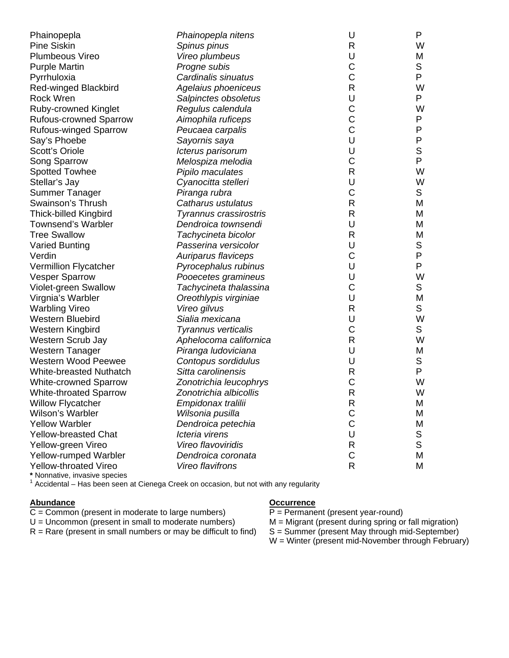| Phainopepla                   | Phainopepla nitens     | U            | P            |
|-------------------------------|------------------------|--------------|--------------|
| <b>Pine Siskin</b>            | Spinus pinus           | $\mathsf{R}$ | W            |
| Plumbeous Vireo               | Vireo plumbeus         | U            | M            |
| <b>Purple Martin</b>          | Progne subis           | C            | $\mathbb S$  |
| Pyrrhuloxia                   | Cardinalis sinuatus    | C            | P            |
| Red-winged Blackbird          | Agelaius phoeniceus    | $\mathsf{R}$ | W            |
| <b>Rock Wren</b>              | Salpinctes obsoletus   | U            | P            |
| <b>Ruby-crowned Kinglet</b>   | Regulus calendula      | C            | W            |
| <b>Rufous-crowned Sparrow</b> | Aimophila ruficeps     | C            | P            |
| <b>Rufous-winged Sparrow</b>  | Peucaea carpalis       | C            | ${\sf P}$    |
| Say's Phoebe                  | Sayornis saya          | U            | $\mathsf{P}$ |
| <b>Scott's Oriole</b>         | Icterus parisorum      | U            | $\mathsf S$  |
| Song Sparrow                  | Melospiza melodia      | C            | P            |
| <b>Spotted Towhee</b>         | Pipilo maculates       | R            | W            |
| Stellar's Jay                 | Cyanocitta stelleri    | U            | W            |
| Summer Tanager                | Piranga rubra          | C            | $\mathsf S$  |
| Swainson's Thrush             | Catharus ustulatus     | $\mathsf R$  | M            |
| <b>Thick-billed Kingbird</b>  | Tyrannus crassirostris | $\mathsf{R}$ | M            |
| <b>Townsend's Warbler</b>     | Dendroica townsendi    | U            | M            |
| <b>Tree Swallow</b>           | Tachycineta bicolor    | R            | M            |
| <b>Varied Bunting</b>         | Passerina versicolor   | U            | $\mathbb S$  |
| Verdin                        | Auriparus flaviceps    | C            | P            |
| Vermillion Flycatcher         | Pyrocephalus rubinus   | U            | P            |
| <b>Vesper Sparrow</b>         | Pooecetes gramineus    | U            | W            |
| Violet-green Swallow          | Tachycineta thalassina | C            | $\mathsf S$  |
| Virgnia's Warbler             | Oreothlypis virginiae  | U            | M            |
| <b>Warbling Vireo</b>         | Vireo gilvus           | R            | S            |
| Western Bluebird              | Sialia mexicana        | U            | W            |
| Western Kingbird              | Tyrannus verticalis    | C            | $\mathsf S$  |
| Western Scrub Jay             | Aphelocoma californica | $\mathsf{R}$ | W            |
| <b>Western Tanager</b>        | Piranga ludoviciana    | U            | M            |
| <b>Western Wood Peewee</b>    | Contopus sordidulus    | U            | $\mathbb S$  |
| White-breasted Nuthatch       | Sitta carolinensis     | R            | P            |
| <b>White-crowned Sparrow</b>  | Zonotrichia leucophrys | C            | W            |
| <b>White-throated Sparrow</b> | Zonotrichia albicollis | R            | W            |
| <b>Willow Flycatcher</b>      | Empidonax tralilii     | $\mathsf{R}$ | М            |
| Wilson's Warbler              | Wilsonia pusilla       | C            | M            |
| <b>Yellow Warbler</b>         | Dendroica petechia     | C            | M            |
| <b>Yellow-breasted Chat</b>   | Icteria virens         | U            | $\mathbb S$  |
| Yellow-green Vireo            | Vireo flavoviridis     | R            | S            |
| Yellow-rumped Warbler         | Dendroica coronata     | C            | M            |
| Yellow-throated Vireo         | Vireo flavifrons       | R            | M            |
|                               |                        |              |              |

**\*** Nonnative, invasive species

 $1$  Accidental – Has been seen at Cienega Creek on occasion, but not with any regularity

Abundance **Occurrence Occurrence** 

 $C =$  Common (present in moderate to large numbers)  $P =$  Permanent (present year-round)

 $U =$  Uncommon (present in small to moderate numbers)  $M =$  Migrant (present during spring or fall migration)<br> $R =$  Rare (present in small numbers or may be difficult to find)  $S =$  Summer (present May through mid-September)  $R =$  Rare (present in small numbers or may be difficult to find)

W = Winter (present mid-November through February)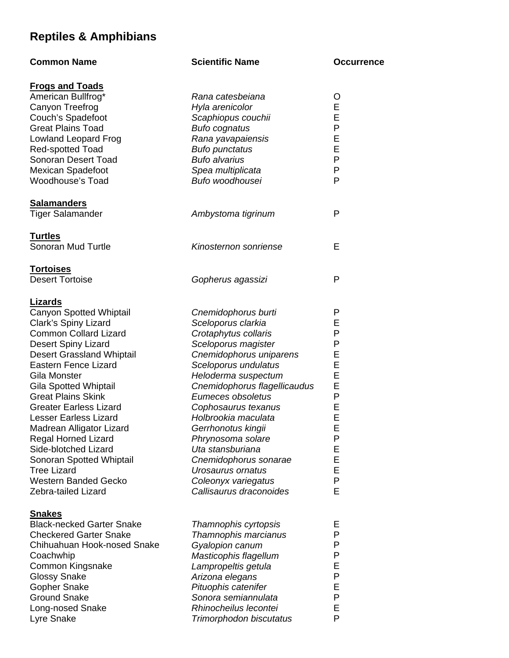# **Reptiles & Amphibians**

| <b>Common Name</b>               | <b>Scientific Name</b>       | <b>Occurrence</b> |
|----------------------------------|------------------------------|-------------------|
| <u>Frogs and Toads</u>           |                              |                   |
| American Bullfrog*               | Rana catesbeiana             | O                 |
| Canyon Treefrog                  | Hyla arenicolor              | Е                 |
| Couch's Spadefoot                | Scaphiopus couchii           | E                 |
| <b>Great Plains Toad</b>         | <b>Bufo cognatus</b>         | P                 |
| <b>Lowland Leopard Frog</b>      | Rana yavapaiensis            | Е                 |
| <b>Red-spotted Toad</b>          | <b>Bufo punctatus</b>        | Е                 |
| Sonoran Desert Toad              | <b>Bufo alvarius</b>         | P                 |
| Mexican Spadefoot                | Spea multiplicata            | P                 |
| Woodhouse's Toad                 | Bufo woodhousei              | P                 |
| <u>Salamanders</u>               |                              |                   |
| Tiger Salamander                 | Ambystoma tigrinum           | P                 |
| Turtles                          |                              |                   |
| Sonoran Mud Turtle               | Kinosternon sonriense        | Е                 |
| <u>Tortoises</u>                 |                              |                   |
| <b>Desert Tortoise</b>           | Gopherus agassizi            | P                 |
| <u>Lizards</u>                   |                              |                   |
| <b>Canyon Spotted Whiptail</b>   | Cnemidophorus burti          | P                 |
| Clark's Spiny Lizard             | Sceloporus clarkia           | Е                 |
| <b>Common Collard Lizard</b>     | Crotaphytus collaris         | P                 |
| Desert Spiny Lizard              | Sceloporus magister          | P                 |
| <b>Desert Grassland Whiptail</b> | Cnemidophorus uniparens      | Е                 |
| <b>Eastern Fence Lizard</b>      | Sceloporus undulatus         | E                 |
| Gila Monster                     | Heloderma suspectum          | E                 |
| <b>Gila Spotted Whiptail</b>     | Cnemidophorus flagellicaudus | E                 |
| <b>Great Plains Skink</b>        | Eumeces obsoletus            | P                 |
| <b>Greater Earless Lizard</b>    | Cophosaurus texanus          | Е                 |
| <b>Lesser Earless Lizard</b>     | Holbrookia maculata          | E                 |
| Madrean Alligator Lizard         | Gerrhonotus kingii           | ᄂ                 |
| <b>Regal Horned Lizard</b>       | Phrynosoma solare            | P                 |
| Side-blotched Lizard             | Uta stansburiana             | Е                 |
| Sonoran Spotted Whiptail         | Cnemidophorus sonarae        | Е                 |
| <b>Tree Lizard</b>               | Urosaurus ornatus            | E                 |
| Western Banded Gecko             | Coleonyx variegatus          | P                 |
| Zebra-tailed Lizard              | Callisaurus draconoides      | Е                 |
| <u>Snakes</u>                    |                              |                   |
| <b>Black-necked Garter Snake</b> | Thamnophis cyrtopsis         | Е                 |
| <b>Checkered Garter Snake</b>    | Thamnophis marcianus         | P                 |
| Chihuahuan Hook-nosed Snake      | Gyalopion canum              | P                 |
| Coachwhip                        | Masticophis flagellum        | P                 |
| Common Kingsnake                 | Lampropeltis getula          | Е                 |
| Glossy Snake                     | Arizona elegans              | P                 |
| <b>Gopher Snake</b>              | Pituophis catenifer          | Е                 |
| <b>Ground Snake</b>              | Sonora semiannulata          | P                 |
| Long-nosed Snake                 | Rhinocheilus lecontei        | Е                 |
| Lyre Snake                       | Trimorphodon biscutatus      | P                 |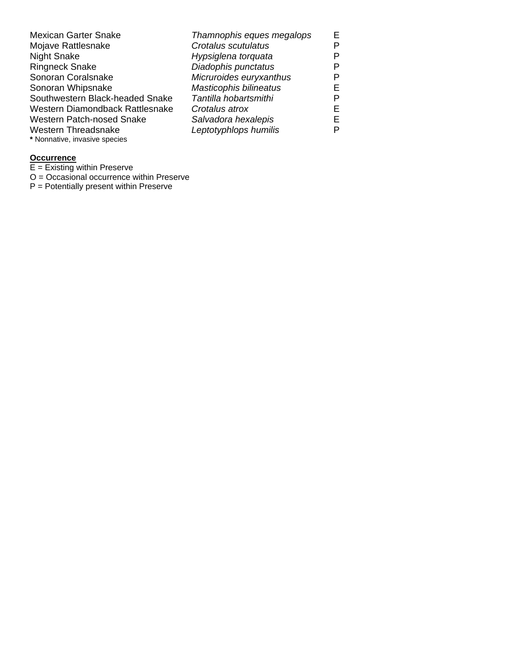| <b>Mexican Garter Snake</b>      | Thamnophis eques megalops     | F. |
|----------------------------------|-------------------------------|----|
| Mojave Rattlesnake               | Crotalus scutulatus           | P  |
| <b>Night Snake</b>               | Hypsiglena torquata           | P  |
| <b>Ringneck Snake</b>            | Diadophis punctatus           | P  |
| Sonoran Coralsnake               | Micruroides euryxanthus       | P  |
| Sonoran Whipsnake                | <b>Masticophis bilineatus</b> | F. |
| Southwestern Black-headed Snake  | Tantilla hobartsmithi         | P  |
| Western Diamondback Rattlesnake  | Crotalus atrox                | F. |
| <b>Western Patch-nosed Snake</b> | Salvadora hexalepis           | F. |
| <b>Western Threadsnake</b>       | Leptotyphlops humilis         | P  |
| * Nonnative, invasive species    |                               |    |

### **Occurrence**

 $E =$  Existing within Preserve

O = Occasional occurrence within Preserve

P = Potentially present within Preserve